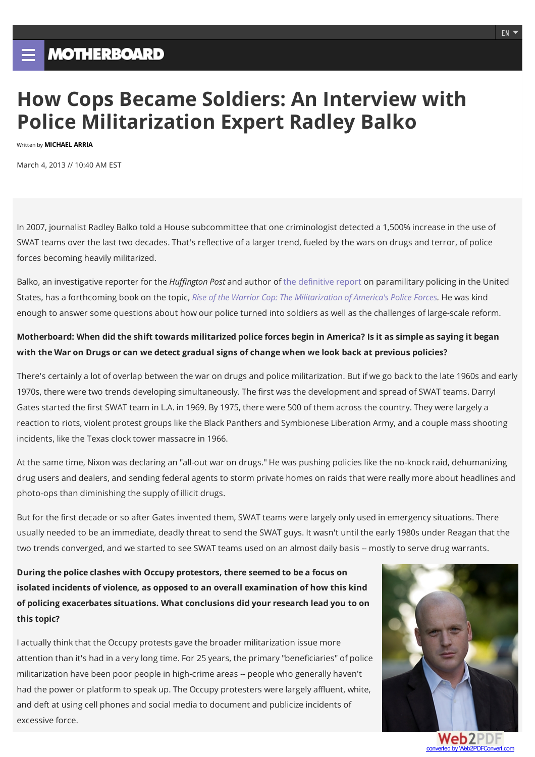# **How Cops Became Soldiers: An Interview with Police Militarization Expert Radley Balko**

Written by **MICHAEL ARRIA**

March 4, 2013 // 10:40 AM EST

In 2007, journalist Radley Balko told a House subcommittee that one criminologist detected a 1,500% increase in the use of SWAT teams over the last two decades. That's reflective of a larger trend, fueled bythe wars on drugs and terror, of police forces becoming heavily militarized.

Balko, an investigative reporter for the *Huffington Post* and author of the definitive report on paramilitary policing in the United States, has a forthcoming book on the topic, *Rise of the Warrior Cop:The Militarization of America's Police Forces.* He was kind enough to answer some questions about how our police turned into soldiers as well as the challenges of large-scale reform.

## Motherboard: When did the shift towards militarized police forces begin in America? Is it as simple as saying it began **with the War on Drugs orcan we detect gradual signs ofchangewhen we look back at previous policies?**

There's certainly a lot of overlap between the war on drugs and police militarization. But if we go backto the late 1960s and early 1970s, there were two trends developing simultaneously. The first was the development and spread of SWAT teams. Darryl Gates started the first SWAT team in L.A. in 1969. By 1975, there were 500 of them across the country. They were largely a reaction to riots, violent protest groups like the Black Panthers and Symbionese Liberation Army, and a couple mass shooting incidents, like the Texas clock tower massacre in 1966.

At the same time, Nixon was declaring an "all-out war on drugs." He was pushing policies like the no-knockraid, dehumanizing drug users and dealers, and sending federal agents to storm private homes on raids that were really more about headlines and photo-ops than diminishing the supply of illicit drugs.

But for the first decade or so after Gates invented them, SWAT teams were largely only used in emergencysituations. There usually needed to be an immediate, deadlythreat to send the SWAT guys. It wasn't until the early 1980s under Reagan that the two trends converged, and we started to see SWAT teams used on an almost daily basis -- mostlyto serve drug warrants.

**During the police clashes with Occupy protestors, there seemed to be a focus on isolated incidents of violence, as opposed to an overall examination of how this kind of policing exacerbatessituations. Whatconclusions did your research lead you to on thistopic?**

I actually think that the Occupy protests gave the broader militarization issue more attention than it's had in a very long time. For 25 years, the primary "beneficiaries" of police militarization have been poor people in high-crime areas -- people who generally haven't had the power or platform to speak up. The Occupy protesters were largely affluent, white, and deft at using cell phones and social media to document and publicize incidents of excessive force.



converted by Web2PDFConvert.com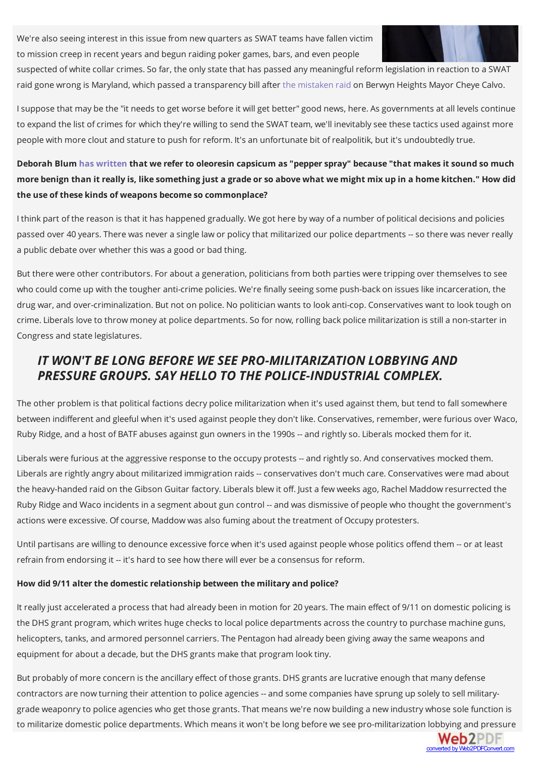We're also seeing interest in this issue from new quarters as SWAT teams have fallen victim to mission creep in recent years and begun raiding poker games, bars, and even people



**Web2PDF** converted by Web2PDFConvert.com

suspected of white collar crimes. So far, the onlystate that has passed any meaningful reform legislation in reaction to a SWAT raid gone wrong is Maryland, which passed a transparency bill after the mistaken raid on Berwyn Heights Mayor Cheye Calvo.

Isuppose that may be the "it needs to get worse before it will get better" good news, here. As governments at all levels continue to expand the list of crimes for which they're willing to send the SWAT team, we'll inevitably see these tactics used against more people with more clout and stature to push for reform. It's an unfortunate bit of realpolitik, but it's undoubtedlytrue.

## **Deborah Blum has written that we refer to oleoresin capsicum as"pepperspray" because "that makesitsound so much** more benign than it really is, like something just a grade or so above what we might mix up in a home kitchen." How did **the use of these kinds of weapons become so commonplace?**

I think part of the reason is that it has happened gradually.We got here by way of a number of political decisions and policies passed over 40 years. There was never a single law or policythat militarized our police departments --so there was never really a public debate over whether this was a good or bad thing.

But there were other contributors. For about a generation, politicians from both parties were tripping over themselves to see who could come up with the tougher anti-crime policies. We're finally seeing some push-back on issues like incarceration, the drug war, and over-criminalization. But not on police. No politician wants to look anti-cop. Conservatives want to looktough on crime.Liberals love to throwmoney at police departments. So for now, rolling back police militarization is still a non-starter in Congress and state legislatures.

# *IT WON'T BELONG BEFORE WESEE PRO-MILITARIZATION LOBBYING AND PRESSURE GROUPS.SAY HELLO TO THE POLICE-INDUSTRIAL COMPLEX.*

The other problem is that political factions decry police militarization when it's used against them, but tend to fall somewhere between indifferent and gleeful when it's used against people they don't like. Conservatives, remember, were furious over Waco, Ruby Ridge, and a host of BATF abuses against gun owners in the 1990s -- and rightly so. Liberals mocked them for it.

Liberals were furious at the aggressive response to the occupy protests -- and rightlyso. And conservatives mocked them. Liberals are rightly angry about militarized immigration raids -- conservatives don't much care. Conservatives were mad about the heavy-handed raid on the Gibson Guitar factory.Liberals blew it off. Just a few weeks ago, Rachel Maddow resurrected the Ruby Ridge and Waco incidents in a segment about gun control -- and was dismissive of people who thought the government's actions were excessive. Of course, Maddow was also fuming about the treatment of Occupy protesters.

Until partisans are willing to denounce excessive force when it's used against people whose politics offend them -- or at least refrain from endorsing it -- it's hard to see how there will ever be a consensus for reform.

#### **How did 9/11 alter the domesticrelationship between the military and police?**

It really just accelerated a process that had already been in motion for 20 years. The main effect of 9/11 on domestic policing is the DHS grant program, which writes huge checks to local police departments across the countryto purchase machine guns, helicopters, tanks, and armored personnel carriers. The Pentagon had already been giving awaythe same weapons and equipment for about a decade, but the DHS grants make that program looktiny.

But probably of more concern is the ancillary effect of those grants. DHS grants are lucrative enough that many defense contractors are now turning their attention to police agencies -- and some companies have sprung up solelyto sell militarygrade weaponryto police agencies who get those grants. That means we're now building a new industry whose sole function is to militarize domestic police departments.Which means it won't be long before we see pro-militarization lobbying and pressure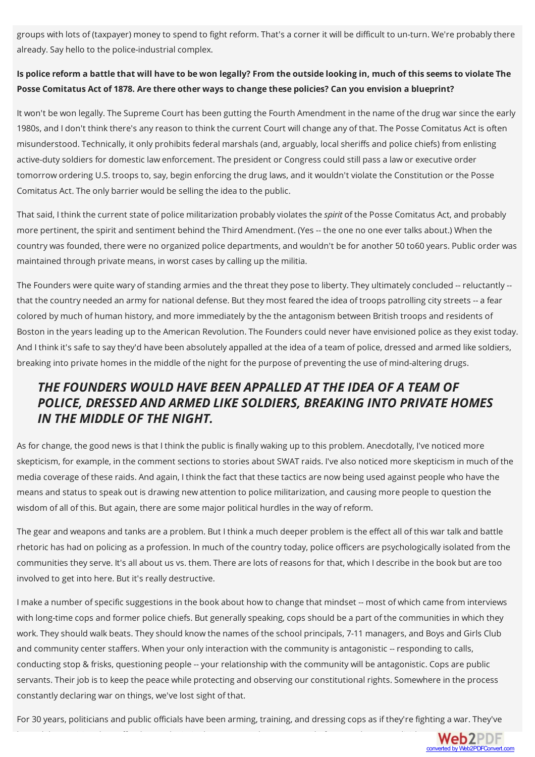groups with lots of (taxpayer) money to spend to fight reform. That's a corner it will be difficult to un-turn. We're probably there already. Say hello to the police-industrial complex.

## Is police reform a battle that will have to be won legally? From the outside looking in, much of this seems to violate The **Posse Comitatus Act of 1878. Are there other waysto change these policies? Can you envision a blueprint?**

It won't be won legally. The Supreme Court has been gutting the Fourth Amendment in the name of the drug war since the early 1980s, and I don't thinkthere's anyreason to thinkthe current Court will change any of that. The Posse Comitatus Act is often misunderstood. Technically, it only prohibits federal marshals (and, arguably, local sheriffs and police chiefs) from enlisting active-duty soldiers for domestic law enforcement. The president or Congress could still pass a law or executive order tomorrow ordering U.S. troops to, say, begin enforcing the drug laws, and it wouldn't violate the Constitution or the Posse Comitatus Act. The only barrier would be selling the idea to the public.

That said, I thinkthe current state of police militarization probablyviolates the *spirit* of the Posse Comitatus Act, and probably more pertinent, the spirit and sentiment behind the Third Amendment. (Yes -- the one no one ever talks about.) When the country was founded, there were no organized police departments, and wouldn't be for another 50 to60 years. Public order was maintained through private means, in worst cases bycalling up the militia.

The Founders were quite wary of standing armies and the threat they pose to liberty. They ultimately concluded -- reluctantly -that the country needed an army for national defense. But they most feared the idea of troops patrolling city streets -- a fear colored by much of human history, and more immediately bythe the antagonism between British troops and residents of Boston in the years leading up to the American Revolution. The Founders could never have envisioned police as they exist today. And I thinkit's safe to saythey'd have been absolutely appalled at the idea of a team of police, dressed and armed like soldiers, breaking into private homes in the middle of the night for the purpose of preventing the use ofmind-altering drugs.

# *THEFOUNDERS WOULD HAVE BEEN APPALLED ATTHEIDEA OF A TEAM OF POLICE, DRESSED AND ARMED LIKESOLDIERS, BREAKING INTO PRIVATE HOMES IN THE MIDDLE OFTHE NIGHT.*

As for change, the good news is that I thinkthe public is finally waking up to this problem. Anecdotally, I've noticed more skepticism, for example, in the comment sections to stories about SWAT raids. I've also noticed more skepticism in much of the media coverage of these raids. And again, I thinkthe fact that these tactics are now being used against people who have the means and status to speak out is drawing new attention to police militarization, and causing more people to question the wisdom of all of this. But again, there are some major political hurdles in the way of reform.

The gear and weapons and tanks are a problem. But I think a much deeper problem is the effect all of this war talk and battle rhetoric has had on policing as a profession. In much of the countrytoday, police officers are psychologicallyisolated from the communities theyserve. It's all about us vs. them. There are lots of reasons for that, which I describe in the book but are too involved to get into here. But it's really destructive.

I make a number of specific suggestions in the book about how to change that mindset -- most of which came from interviews with long-time cops and former police chiefs. But generally speaking, cops should be a part of the communities in which they work. They should walk beats. They should know the names of the school principals, 7-11 managers, and Boys and Girls Club and community center staffers. When your only interaction with the community is antagonistic -- responding to calls, conducting stop & frisks, questioning people --your relationship with the community will be antagonistic. Cops are public servants. Their job is to keep the peace while protecting and observing our constitutional rights. Somewhere in the process constantly declaring war on things, we've lost sight of that.

For 30 years, politicians and public officials have been arming, training, and dressing cops as if they're fighting a war. They've